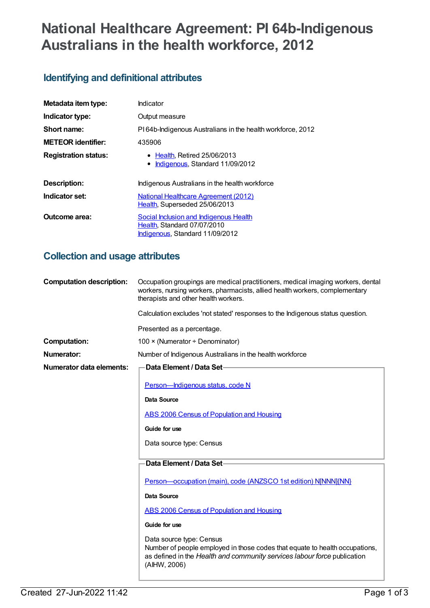# **National Healthcare Agreement: PI 64b-Indigenous Australians in the health workforce, 2012**

# **Identifying and definitional attributes**

| Metadata item type:         | Indicator                                                                                                |
|-----------------------------|----------------------------------------------------------------------------------------------------------|
| Indicator type:             | Output measure                                                                                           |
| Short name:                 | PI64b-Indigenous Australians in the health workforce, 2012                                               |
| <b>METEOR identifier:</b>   | 435906                                                                                                   |
| <b>Registration status:</b> | • Health, Retired 25/06/2013<br>Indigenous, Standard 11/09/2012                                          |
| Description:                | Indigenous Australians in the health workforce                                                           |
| Indicator set:              | <b>National Healthcare Agreement (2012)</b><br>Health, Superseded 25/06/2013                             |
| Outcome area:               | Social Inclusion and Indigenous Health<br>Health, Standard 07/07/2010<br>Indigenous, Standard 11/09/2012 |

#### **Collection and usage attributes**

| <b>Computation description:</b> | Occupation groupings are medical practitioners, medical imaging workers, dental<br>workers, nursing workers, pharmacists, allied health workers, complementary<br>therapists and other health workers. |
|---------------------------------|--------------------------------------------------------------------------------------------------------------------------------------------------------------------------------------------------------|
|                                 | Calculation excludes 'not stated' responses to the Indigenous status question.                                                                                                                         |
|                                 | Presented as a percentage.                                                                                                                                                                             |
| <b>Computation:</b>             | 100 × (Numerator ÷ Denominator)                                                                                                                                                                        |
| <b>Numerator:</b>               | Number of Indigenous Australians in the health workforce                                                                                                                                               |
| <b>Numerator data elements:</b> | Data Element / Data Set-                                                                                                                                                                               |
|                                 | Person-Indigenous status, code N                                                                                                                                                                       |
|                                 | Data Source                                                                                                                                                                                            |
|                                 | ABS 2006 Census of Population and Housing                                                                                                                                                              |
|                                 | Guide for use                                                                                                                                                                                          |
|                                 | Data source type: Census                                                                                                                                                                               |
|                                 | Data Element / Data Set-                                                                                                                                                                               |
|                                 | Person-occupation (main), code (ANZSCO 1st edition) N[NNN]{NN}                                                                                                                                         |
|                                 | Data Source                                                                                                                                                                                            |
|                                 | <b>ABS 2006 Census of Population and Housing</b>                                                                                                                                                       |
|                                 | Guide for use                                                                                                                                                                                          |
|                                 | Data source type: Census<br>Number of people employed in those codes that equate to health occupations,<br>as defined in the Health and community services labour force publication<br>(AIHW, 2006)    |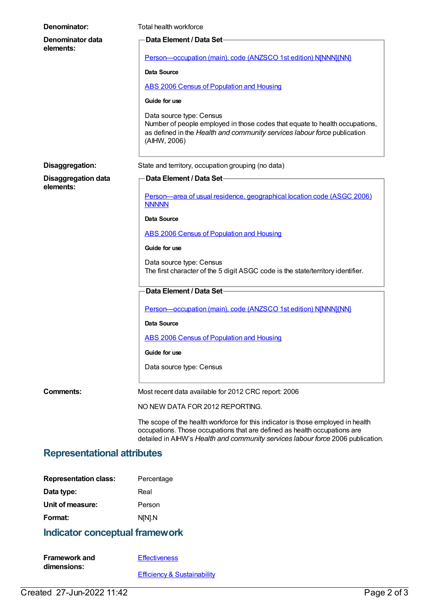| Denominator:                            | Total health workforce                                                                                                                                                                                                                           |
|-----------------------------------------|--------------------------------------------------------------------------------------------------------------------------------------------------------------------------------------------------------------------------------------------------|
| Denominator data<br>elements:           | Data Element / Data Set-                                                                                                                                                                                                                         |
|                                         | Person-occupation (main), code (ANZSCO 1st edition) NJNNNJ{NN}                                                                                                                                                                                   |
|                                         | Data Source                                                                                                                                                                                                                                      |
|                                         | ABS 2006 Census of Population and Housing                                                                                                                                                                                                        |
|                                         | Guide for use                                                                                                                                                                                                                                    |
|                                         | Data source type: Census<br>Number of people employed in those codes that equate to health occupations,<br>as defined in the Health and community services labour force publication<br>(AIHW, 2006)                                              |
| Disaggregation:                         | State and territory, occupation grouping (no data)                                                                                                                                                                                               |
| <b>Disaggregation data</b><br>elements: | Data Element / Data Set                                                                                                                                                                                                                          |
|                                         | Person-area of usual residence, geographical location code (ASGC 2006)<br><b>NNNNN</b>                                                                                                                                                           |
|                                         | <b>Data Source</b>                                                                                                                                                                                                                               |
|                                         | ABS 2006 Census of Population and Housing                                                                                                                                                                                                        |
|                                         | Guide for use                                                                                                                                                                                                                                    |
|                                         | Data source type: Census<br>The first character of the 5 digit ASGC code is the state/territory identifier.                                                                                                                                      |
|                                         | Data Element / Data Set-                                                                                                                                                                                                                         |
|                                         | Person-occupation (main), code (ANZSCO 1st edition) N[NNN]{NN}                                                                                                                                                                                   |
|                                         | <b>Data Source</b>                                                                                                                                                                                                                               |
|                                         | <b>ABS 2006 Census of Population and Housing</b>                                                                                                                                                                                                 |
|                                         | Guide for use                                                                                                                                                                                                                                    |
|                                         | Data source type: Census                                                                                                                                                                                                                         |
| Comments:                               | Most recent data available for 2012 CRC report: 2006                                                                                                                                                                                             |
|                                         | NO NEW DATA FOR 2012 REPORTING.                                                                                                                                                                                                                  |
|                                         | The scope of the health workforce for this indicator is those employed in health<br>occupations. Those occupations that are defined as health occupations are<br>detailed in AIHW's Health and community services labour force 2006 publication. |

# **Representational attributes**

| <b>Representation class:</b> | Percentage |
|------------------------------|------------|
| Data type:                   | Real       |
| Unit of measure:             | Person     |
| Format:                      | N[N].N     |

# **Indicator conceptual framework**

| <b>Framework and</b> | <b>Effectiveness</b>                   |
|----------------------|----------------------------------------|
| dimensions:          |                                        |
|                      | <b>Efficiency &amp; Sustainability</b> |